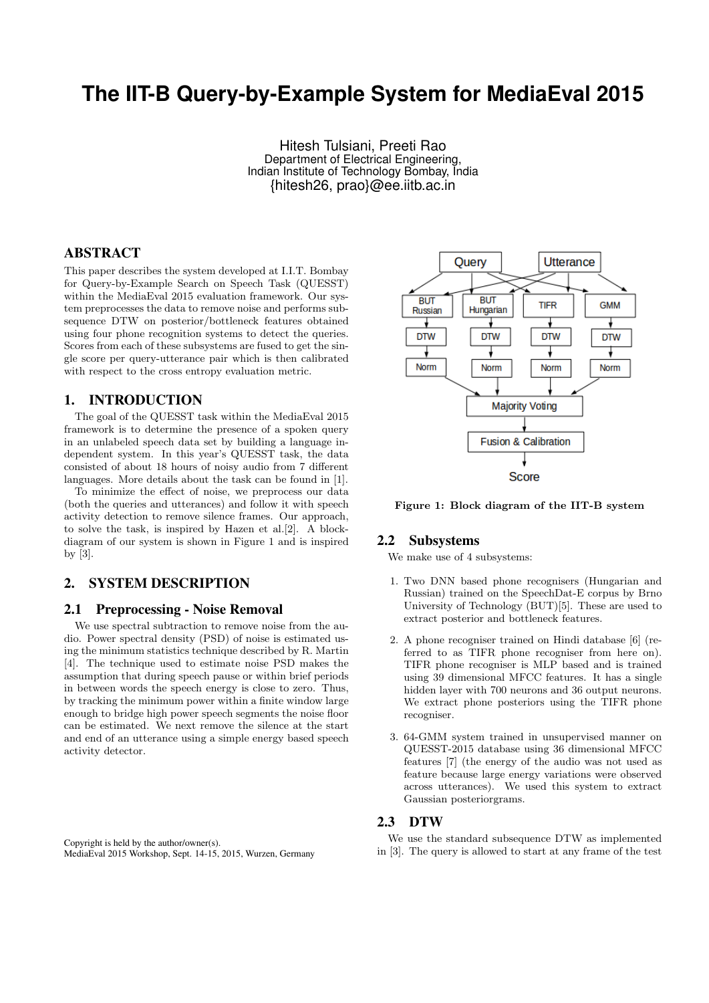# **The IIT-B Query-by-Example System for MediaEval 2015**

Hitesh Tulsiani, Preeti Rao Department of Electrical Engineering, Indian Institute of Technology Bombay, India {hitesh26, prao}@ee.iitb.ac.in

## ABSTRACT

This paper describes the system developed at I.I.T. Bombay for Query-by-Example Search on Speech Task (QUESST) within the MediaEval 2015 evaluation framework. Our system preprocesses the data to remove noise and performs subsequence DTW on posterior/bottleneck features obtained using four phone recognition systems to detect the queries. Scores from each of these subsystems are fused to get the single score per query-utterance pair which is then calibrated with respect to the cross entropy evaluation metric.

#### 1. INTRODUCTION

The goal of the QUESST task within the MediaEval 2015 framework is to determine the presence of a spoken query in an unlabeled speech data set by building a language independent system. In this year's QUESST task, the data consisted of about 18 hours of noisy audio from 7 different languages. More details about the task can be found in [1].

To minimize the effect of noise, we preprocess our data (both the queries and utterances) and follow it with speech activity detection to remove silence frames. Our approach, to solve the task, is inspired by Hazen et al.[2]. A blockdiagram of our system is shown in Figure 1 and is inspired by [3].

# 2. SYSTEM DESCRIPTION

## 2.1 Preprocessing - Noise Removal

We use spectral subtraction to remove noise from the audio. Power spectral density (PSD) of noise is estimated using the minimum statistics technique described by R. Martin [4]. The technique used to estimate noise PSD makes the assumption that during speech pause or within brief periods in between words the speech energy is close to zero. Thus, by tracking the minimum power within a finite window large enough to bridge high power speech segments the noise floor can be estimated. We next remove the silence at the start and end of an utterance using a simple energy based speech activity detector.



Figure 1: Block diagram of the IIT-B system

#### 2.2 Subsystems

We make use of 4 subsystems:

- 1. Two DNN based phone recognisers (Hungarian and Russian) trained on the SpeechDat-E corpus by Brno University of Technology (BUT)[5]. These are used to extract posterior and bottleneck features.
- 2. A phone recogniser trained on Hindi database [6] (referred to as TIFR phone recogniser from here on). TIFR phone recogniser is MLP based and is trained using 39 dimensional MFCC features. It has a single hidden layer with 700 neurons and 36 output neurons. We extract phone posteriors using the TIFR phone recogniser.
- 3. 64-GMM system trained in unsupervised manner on QUESST-2015 database using 36 dimensional MFCC features [7] (the energy of the audio was not used as feature because large energy variations were observed across utterances). We used this system to extract Gaussian posteriorgrams.

#### 2.3 DTW

We use the standard subsequence DTW as implemented in [3]. The query is allowed to start at any frame of the test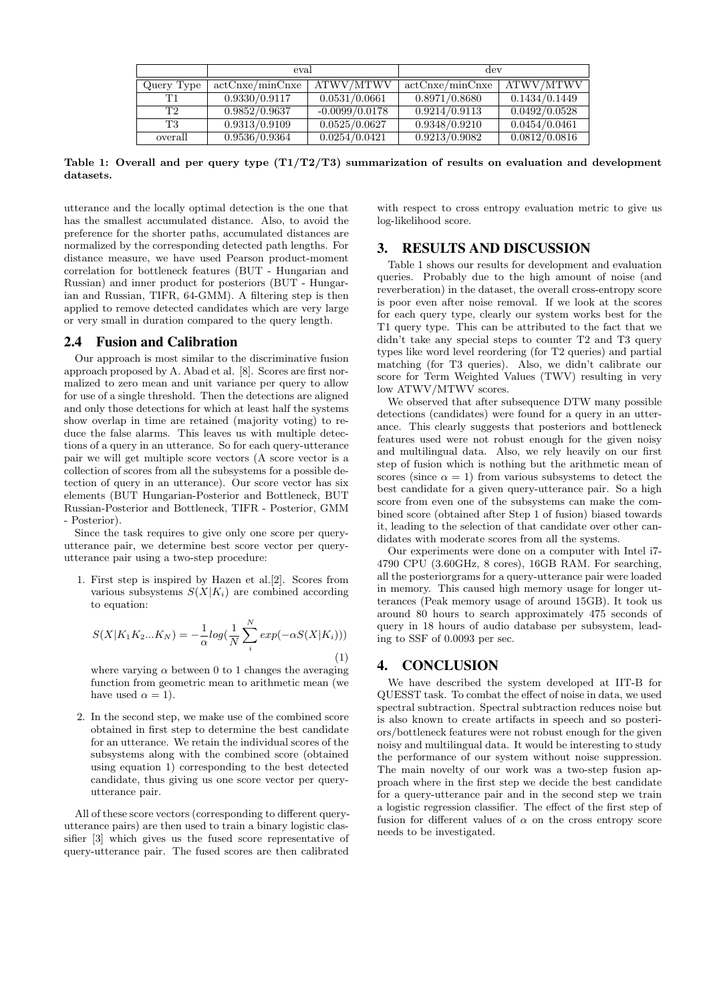|            | eval.           |                  | dev             |               |
|------------|-----------------|------------------|-----------------|---------------|
| Query Type | actCnxe/minCnxe | ATWV/MTWV        | actCnxe/minCnxe | ATWV/MTWV     |
| Τ1         | 0.9330/0.9117   | 0.0531/0.0661    | 0.8971/0.8680   | 0.1434/0.1449 |
| T2.        | 0.9852/0.9637   | $-0.0099/0.0178$ | 0.9214/0.9113   | 0.0492/0.0528 |
| T3         | 0.9313/0.9109   | 0.0525/0.0627    | 0.9348/0.9210   | 0.0454/0.0461 |
| overall    | 0.9536/0.9364   | 0.0254/0.0421    | 0.9213/0.9082   | 0.0812/0.0816 |

Table 1: Overall and per query type  $(T1/T2/T3)$  summarization of results on evaluation and development datasets.

utterance and the locally optimal detection is the one that has the smallest accumulated distance. Also, to avoid the preference for the shorter paths, accumulated distances are normalized by the corresponding detected path lengths. For distance measure, we have used Pearson product-moment correlation for bottleneck features (BUT - Hungarian and Russian) and inner product for posteriors (BUT - Hungarian and Russian, TIFR, 64-GMM). A filtering step is then applied to remove detected candidates which are very large or very small in duration compared to the query length.

# 2.4 Fusion and Calibration

Our approach is most similar to the discriminative fusion approach proposed by A. Abad et al. [8]. Scores are first normalized to zero mean and unit variance per query to allow for use of a single threshold. Then the detections are aligned and only those detections for which at least half the systems show overlap in time are retained (majority voting) to reduce the false alarms. This leaves us with multiple detections of a query in an utterance. So for each query-utterance pair we will get multiple score vectors (A score vector is a collection of scores from all the subsystems for a possible detection of query in an utterance). Our score vector has six elements (BUT Hungarian-Posterior and Bottleneck, BUT Russian-Posterior and Bottleneck, TIFR - Posterior, GMM - Posterior).

Since the task requires to give only one score per queryutterance pair, we determine best score vector per queryutterance pair using a two-step procedure:

1. First step is inspired by Hazen et al.[2]. Scores from various subsystems  $S(X|K_i)$  are combined according to equation:

$$
S(X|K_1K_2...K_N) = -\frac{1}{\alpha}log(\frac{1}{N}\sum_{i}^{N}exp(-\alpha S(X|K_i)))
$$
\n(1)

where varying  $\alpha$  between 0 to 1 changes the averaging function from geometric mean to arithmetic mean (we have used  $\alpha = 1$ ).

2. In the second step, we make use of the combined score obtained in first step to determine the best candidate for an utterance. We retain the individual scores of the subsystems along with the combined score (obtained using equation 1) corresponding to the best detected candidate, thus giving us one score vector per queryutterance pair.

All of these score vectors (corresponding to different queryutterance pairs) are then used to train a binary logistic classifier [3] which gives us the fused score representative of query-utterance pair. The fused scores are then calibrated

with respect to cross entropy evaluation metric to give us log-likelihood score.

## 3. RESULTS AND DISCUSSION

Table 1 shows our results for development and evaluation queries. Probably due to the high amount of noise (and reverberation) in the dataset, the overall cross-entropy score is poor even after noise removal. If we look at the scores for each query type, clearly our system works best for the T1 query type. This can be attributed to the fact that we didn't take any special steps to counter T2 and T3 query types like word level reordering (for T2 queries) and partial matching (for T3 queries). Also, we didn't calibrate our score for Term Weighted Values (TWV) resulting in very low ATWV/MTWV scores.

We observed that after subsequence DTW many possible detections (candidates) were found for a query in an utterance. This clearly suggests that posteriors and bottleneck features used were not robust enough for the given noisy and multilingual data. Also, we rely heavily on our first step of fusion which is nothing but the arithmetic mean of scores (since  $\alpha = 1$ ) from various subsystems to detect the best candidate for a given query-utterance pair. So a high score from even one of the subsystems can make the combined score (obtained after Step 1 of fusion) biased towards it, leading to the selection of that candidate over other candidates with moderate scores from all the systems.

Our experiments were done on a computer with Intel i7- 4790 CPU (3.60GHz, 8 cores), 16GB RAM. For searching, all the posteriorgrams for a query-utterance pair were loaded in memory. This caused high memory usage for longer utterances (Peak memory usage of around 15GB). It took us around 80 hours to search approximately 475 seconds of query in 18 hours of audio database per subsystem, leading to SSF of 0.0093 per sec.

## 4. CONCLUSION

We have described the system developed at IIT-B for QUESST task. To combat the effect of noise in data, we used spectral subtraction. Spectral subtraction reduces noise but is also known to create artifacts in speech and so posteriors/bottleneck features were not robust enough for the given noisy and multilingual data. It would be interesting to study the performance of our system without noise suppression. The main novelty of our work was a two-step fusion approach where in the first step we decide the best candidate for a query-utterance pair and in the second step we train a logistic regression classifier. The effect of the first step of fusion for different values of  $\alpha$  on the cross entropy score needs to be investigated.